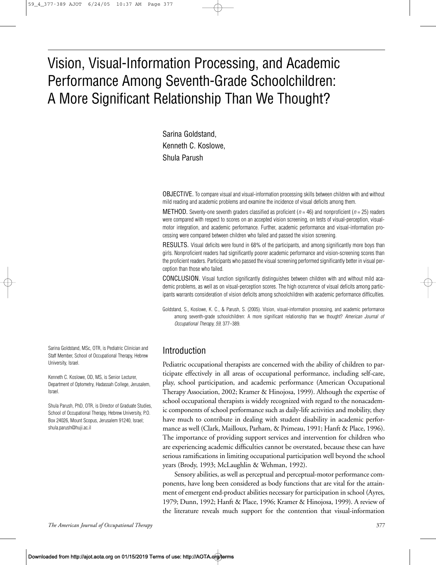# Vision, Visual-Information Processing, and Academic Performance Among Seventh-Grade Schoolchildren: A More Significant Relationship Than We Thought?

Sarina Goldstand, Kenneth C. Koslowe, Shula Parush

OBJECTIVE. To compare visual and visual-information processing skills between children with and without mild reading and academic problems and examine the incidence of visual deficits among them.

METHOD*.* Seventy-one seventh graders classified as proficient (*n* = 46) and nonproficient (*n* = 25) readers were compared with respect to scores on an accepted vision screening, on tests of visual-perception, visualmotor integration, and academic performance. Further, academic performance and visual-information processing were compared between children who failed and passed the vision screening.

RESULTS. Visual deficits were found in 68% of the participants, and among significantly more boys than girls. Nonproficient readers had significantly poorer academic performance and vision-screening scores than the proficient readers. Participants who passed the visual screening performed significantly better in visual perception than those who failed.

CONCLUSION. Visual function significantly distinguishes between children with and without mild academic problems, as well as on visual-perception scores. The high occurrence of visual deficits among participants warrants consideration of vision deficits among schoolchildren with academic performance difficulties.

Goldstand, S., Koslowe, K. C., & Parush, S. (2005). Vision, visual-information processing, and academic performance among seventh-grade schoolchildren: A more significant relationship than we thought? *American Journal of Occupational Therapy, 59,* 377–389.

# Introduction

Pediatric occupational therapists are concerned with the ability of children to participate effectively in all areas of occupational performance, including self-care, play, school participation, and academic performance (American Occupational Therapy Association, 2002; Kramer & Hinojosa, 1999). Although the expertise of school occupational therapists is widely recognized with regard to the nonacademic components of school performance such as daily-life activities and mobility, they have much to contribute in dealing with student disability in academic performance as well (Clark, Mailloux, Parham, & Primeau, 1991; Hanft & Place, 1996). The importance of providing support services and intervention for children who are experiencing academic difficulties cannot be overstated, because these can have serious ramifications in limiting occupational participation well beyond the school years (Brody, 1993; McLaughlin & Wehman, 1992).

Sensory abilities, as well as perceptual and perceptual-motor performance components, have long been considered as body functions that are vital for the attainment of emergent end-product abilities necessary for participation in school (Ayres, 1979; Dunn, 1992; Hanft & Place, 1996; Kramer & Hinojosa, 1999). A review of the literature reveals much support for the contention that visual-information

Sarina Goldstand, MSc, OTR, is Pediatric Clinician and Staff Member, School of Occupational Therapy, Hebrew University, Israel.

Kenneth C. Koslowe, OD, MS, is Senior Lecturer, Department of Optometry, Hadassah College, Jerusalem, Israel.

Shula Parush, PhD, OTR, is Director of Graduate Studies, School of Occupational Therapy, Hebrew University, P.O. Box 24026, Mount Scopus, Jerusalem 91240, Israel; shula.parush@huji.ac.il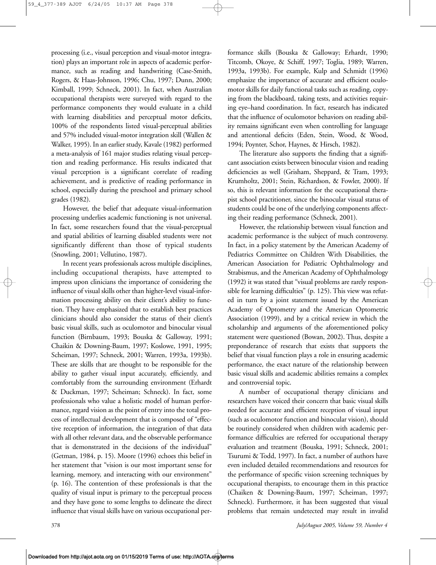processing (i.e., visual perception and visual-motor integration) plays an important role in aspects of academic performance, such as reading and handwriting (Case-Smith, Rogers, & Haas-Johnson, 1996; Chu, 1997; Dunn, 2000; Kimball, 1999; Schneck, 2001). In fact, when Australian occupational therapists were surveyed with regard to the performance components they would evaluate in a child with learning disabilities and perceptual motor deficits, 100% of the respondents listed visual-perceptual abilities and 57% included visual-motor integration skill (Wallen & Walker, 1995). In an earlier study, Kavale (1982) performed a meta-analysis of 161 major studies relating visual perception and reading performance. His results indicated that visual perception is a significant correlate of reading achievement, and is predictive of reading performance in school, especially during the preschool and primary school grades (1982).

However, the belief that adequate visual-information processing underlies academic functioning is not universal. In fact, some researchers found that the visual-perceptual and spatial abilities of learning disabled students were not significantly different than those of typical students (Snowling, 2001; Vellutino, 1987).

In recent years professionals across multiple disciplines, including occupational therapists, have attempted to impress upon clinicians the importance of considering the influence of visual skills other than higher-level visual-information processing ability on their client's ability to function. They have emphasized that to establish best practices clinicians should also consider the status of their client's basic visual skills, such as oculomotor and binocular visual function (Birnbaum, 1993; Bouska & Galloway, 1991; Chaikin & Downing-Baum, 1997; Koslowe, 1991, 1995; Scheiman, 1997; Schneck, 2001; Warren, 1993a, 1993b). These are skills that are thought to be responsible for the ability to gather visual input accurately, efficiently, and comfortably from the surrounding environment (Erhardt & Duckman, 1997; Scheiman; Schneck). In fact, some professionals who value a holistic model of human performance, regard vision as the point of entry into the total process of intellectual development that is composed of "effective reception of information, the integration of that data with all other relevant data, and the observable performance that is demonstrated in the decisions of the individual" (Getman, 1984, p. 15). Moore (1996) echoes this belief in her statement that "vision is our most important sense for learning, memory, and interacting with our environment" (p. 16). The contention of these professionals is that the quality of visual input is primary to the perceptual process and they have gone to some lengths to delineate the direct influence that visual skills have on various occupational performance skills (Bouska & Galloway; Erhardt, 1990; Titcomb, Okoye, & Schiff, 1997; Toglia, 1989; Warren, 1993a, 1993b). For example, Kulp and Schmidt (1996) emphasize the importance of accurate and efficient oculomotor skills for daily functional tasks such as reading, copying from the blackboard, taking tests, and activities requiring eye–hand coordination. In fact, research has indicated that the influence of oculomotor behaviors on reading ability remains significant even when controlling for language and attentional deficits (Eden, Stein, Wood, & Wood, 1994; Poynter, Schor, Haynes, & Hirsch, 1982).

The literature also supports the finding that a significant association exists between binocular vision and reading deficiencies as well (Grisham, Sheppard, & Tram, 1993; Krumholtz, 2001; Stein, Richardson, & Fowler, 2000). If so, this is relevant information for the occupational therapist school practitioner, since the binocular visual status of students could be one of the underlying components affecting their reading performance (Schneck, 2001).

However, the relationship between visual function and academic performance is the subject of much controversy. In fact, in a policy statement by the American Academy of Pediatrics Committee on Children With Disabilities, the American Association for Pediatric Ophthalmology and Strabismus, and the American Academy of Ophthalmology (1992) it was stated that "visual problems are rarely responsible for learning difficulties" (p. 125). This view was refuted in turn by a joint statement issued by the American Academy of Optometry and the American Optometric Association (1999), and by a critical review in which the scholarship and arguments of the aforementioned policy statement were questioned (Bowan, 2002). Thus, despite a preponderance of research that exists that supports the belief that visual function plays a role in ensuring academic performance, the exact nature of the relationship between basic visual skills and academic abilities remains a complex and controversial topic.

A number of occupational therapy clinicians and researchers have voiced their concern that basic visual skills needed for accurate and efficient reception of visual input (such as oculomotor function and binocular vision), should be routinely considered when children with academic performance difficulties are referred for occupational therapy evaluation and treatment (Bouska, 1991; Schneck, 2001; Tsurumi & Todd, 1997). In fact, a number of authors have even included detailed recommendations and resources for the performance of specific vision screening techniques by occupational therapists, to encourage them in this practice (Chaiken & Downing-Baum, 1997; Scheiman, 1997; Schneck). Furthermore, it has been suggested that visual problems that remain undetected may result in invalid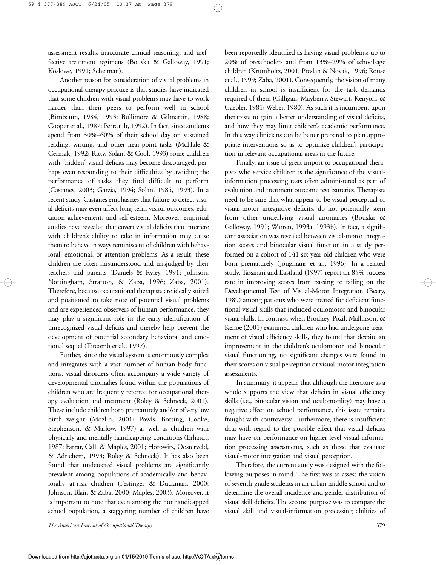assessment results, inaccurate clinical reasoning, and ineffective treatment regimens (Bouska & Galloway, 1991; Koslowe, 1991; Scheiman).

Another reason for consideration of visual problems in occupational therapy practice is that studies have indicated that some children with visual problems may have to work harder than their peers to perform well in school (Birnbaum, 1984, 1993; Bullimore & Gilmartin, 1988; Cooper et al., 1987; Perreault, 1992). In fact, since students spend from 30%–60% of their school day on sustained reading, writing, and other near-point tasks (McHale & Cermak, 1992; Ritty, Solan, & Cool, 1993) some children with "hidden" visual deficits may become discouraged, perhaps even responding to their difficulties by avoiding the performance of tasks they find difficult to perform (Castanes, 2003; Garzia, 1994; Solan, 1985, 1993). In a recent study, Castanes emphasizes that failure to detect visual deficits may even affect long-term vision outcomes, education achievement, and self-esteem. Moreover, empirical studies have revealed that covert visual deficits that interfere with children's ability to take in information may cause them to behave in ways reminiscent of children with behavioral, emotional, or attention problems. As a result, these children are often misunderstood and misjudged by their teachers and parents (Daniels & Ryley, 1991; Johnson, Nottingham, Stratton, & Zaba, 1996; Zaba, 2001). Therefore, because occupational therapists are ideally suited and positioned to take note of potential visual problems and are experienced observers of human performance, they may play a significant role in the early identification of unrecognized visual deficits and thereby help prevent the development of potential secondary behavioral and emotional sequel (Titcomb et al., 1997).

Further, since the visual system is enormously complex and integrates with a vast number of human body functions, visual disorders often accompany a wide variety of developmental anomalies found within the populations of children who are frequently referred for occupational therapy evaluation and treatment (Roley & Schneck, 2001). These include children born prematurely and/or of very low birth weight (Mozlin, 2001; Powls, Botting, Cooke, Stephenson, & Marlow, 1997) as well as children with physically and mentally handicapping conditions (Erhardt, 1987; Farrar, Call, & Maples, 2001; Horowitz, Oosterveld, & Adrichem, 1993; Roley & Schneck). It has also been found that undetected visual problems are significantly prevalent among populations of academically and behaviorally at-risk children (Festinger & Duckman, 2000; Johnson, Blair, & Zaba, 2000; Maples, 2003). Moreover, it is important to note that even among the nonhandicapped school population, a staggering number of children have

been reportedly identified as having visual problems; up to 20% of preschoolers and from 13%–29% of school-age children (Krumholtz, 2001; Preslan & Novak, 1996; Rouse et al., 1999; Zaba, 2001). Consequently, the vision of many children in school is insufficient for the task demands required of them (Gilligan, Mayberry, Stewart, Kenyon, & Gaebler, 1981; Weber, 1980). As such it is incumbent upon therapists to gain a better understanding of visual deficits, and how they may limit children's academic performance. In this way clinicians can be better prepared to plan appropriate interventions so as to optimize children's participation in relevant occupational areas in the future.

Finally, an issue of great import to occupational therapists who service children is the significance of the visualinformation processing tests often administered as part of evaluation and treatment outcome test batteries. Therapists need to be sure that what appear to be visual-perceptual or visual-motor integrative deficits, do not potentially stem from other underlying visual anomalies (Bouska & Galloway, 1991; Warren, 1993a, 1993b). In fact, a significant association was revealed between visual-motor integration scores and binocular visual function in a study performed on a cohort of 141 six-year-old children who were born prematurely (Jongmans et al., 1996). In a related study, Tassinari and Eastland (1997) report an 85% success rate in improving scores from passing to failing on the Developmental Test of Visual-Motor Integration (Beery, 1989) among patients who were treated for deficient functional visual skills that included oculomotor and binocular visual skills. In contrast, when Brodney, Pozil, Mallinson, & Kehoe (2001) examined children who had undergone treatment of visual efficiency skills, they found that despite an improvement in the children's oculomotor and binocular visual functioning, no significant changes were found in their scores on visual perception or visual-motor integration assessments.

In summary, it appears that although the literature as a whole supports the view that deficits in visual efficiency skills (i.e., binocular vision and oculomotility) may have a negative effect on school performance, this issue remains fraught with controversy. Furthermore, there is insufficient data with regard to the possible effect that visual deficits may have on performance on higher-level visual-information processing assessments, such as those that evaluate visual-motor integration and visual perception.

Therefore, the current study was designed with the following purposes in mind. The first was to assess the vision of seventh-grade students in an urban middle school and to determine the overall incidence and gender distribution of visual skill deficits. The second purpose was to compare the visual skill and visual-information processing abilities of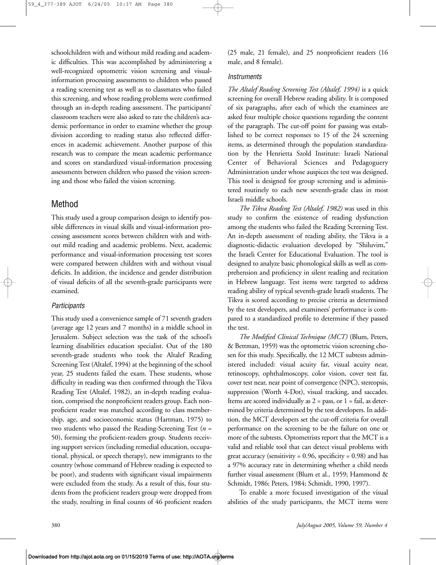schoolchildren with and without mild reading and academic difficulties. This was accomplished by administering a well-recognized optometric vision screening and visualinformation processing assessments to children who passed a reading screening test as well as to classmates who failed this screening, and whose reading problems were confirmed through an in-depth reading assessment. The participants' classroom teachers were also asked to rate the children's academic performance in order to examine whether the group division according to reading status also reflected differences in academic achievement. Another purpose of this research was to compare the mean academic performance and scores on standardized visual-information processing assessments between children who passed the vision screening and those who failed the vision screening.

# Method

This study used a group comparison design to identify possible differences in visual skills and visual-information processing assessment scores between children with and without mild reading and academic problems. Next, academic performance and visual-information processing test scores were compared between children with and without visual deficits. In addition, the incidence and gender distribution of visual deficits of all the seventh-grade participants were examined.

## *Participants*

This study used a convenience sample of 71 seventh graders (average age 12 years and 7 months) in a middle school in Jerusalem. Subject selection was the task of the school's learning disabilities education specialist. Out of the 180 seventh-grade students who took the Altalef Reading Screening Test (Altalef, 1994) at the beginning of the school year, 25 students failed the exam. These students, whose difficulty in reading was then confirmed through the Tikva Reading Test (Altalef, 1982), an in-depth reading evaluation, comprised the nonproficient readers group. Each nonproficient reader was matched according to class membership, age, and socioeconomic status (Hartman, 1975) to two students who passed the Reading-Screening Test (*n* = 50), forming the proficient-readers group. Students receiving support services (including remedial education, occupational, physical, or speech therapy), new immigrants to the country (whose command of Hebrew reading is expected to be poor), and students with significant visual impairments were excluded from the study. As a result of this, four students from the proficient readers group were dropped from the study, resulting in final counts of 46 proficient readers

(25 male, 21 female), and 25 nonproficient readers (16 male, and 8 female).

## *Instruments*

*The Altalef Reading Screening Test (Altalef, 1994)* is a quick screening for overall Hebrew reading ability. It is composed of six paragraphs, after each of which the examinees are asked four multiple choice questions regarding the content of the paragraph. The cut-off point for passing was established to be correct responses to 15 of the 24 screening items, as determined through the population standardization by the Henrietta Szold Institute: Israeli National Center of Behavioral Sciences and Pedagoguery Administration under whose auspices the test was designed. This tool is designed for group screening and is administered routinely to each new seventh-grade class in most Israeli middle schools.

*The Tikva Reading Test (Altalef, 1982)* was used in this study to confirm the existence of reading dysfunction among the students who failed the Reading Screening Test. An in-depth assessment of reading ability, the Tikva is a diagnostic-didactic evaluation developed by "Shiluvim," the Israeli Center for Educational Evaluation. The tool is designed to analyze basic phonological skills as well as comprehension and proficiency in silent reading and recitation in Hebrew language. Test items were targeted to address reading ability of typical seventh-grade Israeli students. The Tikva is scored according to precise criteria as determined by the test developers, and examinees' performance is compared to a standardized profile to determine if they passed the test.

*The Modified Clinical Technique (MCT)* (Blum, Peters, & Bettman, 1959) was the optometric vision screening chosen for this study. Specifically, the 12 MCT subtests administered included: visual acuity far, visual acuity near, retinoscopy, ophthalmoscopy, color vision, cover test far, cover test near, near point of convergence (NPC), stereopsis, suppression (Worth 4-Dot), visual tracking, and saccades. Items are scored individually as  $2 =$  pass, or  $1 =$  fail, as determined by criteria determined by the test developers. In addition, the MCT developers set the cut-off criteria for overall performance on the screening to be the failure on one or more of the subtests. Optometrists report that the MCT is a valid and reliable tool that can detect visual problems with great accuracy (sensitivity =  $0.96$ , specificity =  $0.98$ ) and has a 97% accuracy rate in determining whether a child needs further visual assessment (Blum et al., 1959; Hammond & Schmidt, 1986; Peters, 1984; Schmidt, 1990, 1997).

To enable a more focused investigation of the visual abilities of the study participants, the MCT items were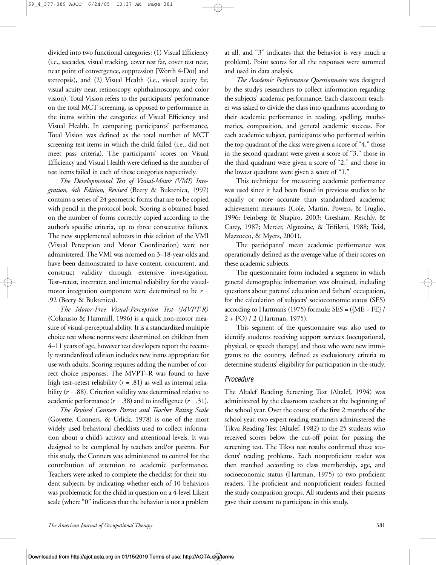divided into two functional categories: (1) Visual Efficiency (i.e., saccades, visual tracking, cover test far, cover test near, near point of convergence, suppression [Worth 4-Dot] and stereopsis), and (2) Visual Health (i.e., visual acuity far, visual acuity near, retinoscopy, ophthalmoscopy, and color vision). Total Vision refers to the participants' performance on the total MCT screening, as opposed to performance in the items within the categories of Visual Efficiency and Visual Health. In comparing participants' performance, Total Vision was defined as the total number of MCT screening test items in which the child failed (i.e., did not meet pass criteria). The participants' scores on Visual Efficiency and Visual Health were defined as the number of test items failed in each of these categories respectively.

*The Developmental Test of Visual-Motor (VMI) Integration, 4th Edition, Revised* (Beery & Buktenica, 1997) contains a series of 24 geometric forms that are to be copied with pencil in the protocol book. Scoring is obtained based on the number of forms correctly copied according to the author's specific criteria, up to three consecutive failures. The new supplemental subtests in this edition of the VMI (Visual Perception and Motor Coordination) were not administered. The VMI was normed on 3–18-year-olds and have been demonstrated to have content, concurrent, and construct validity through extensive investigation. Test–retest, interrater, and internal reliability for the visualmotor integration component were determined to be *r* = .92 (Beery & Buktenica).

*The Motor-Free Visual-Perception Test (MVPT-R)* (Colarusso & Hammill, 1996) is a quick non-motor measure of visual-perceptual ability. It is a standardized multiple choice test whose norms were determined on children from 4–11 years of age, however test developers report the recently restandardized edition includes new items appropriate for use with adults. Scoring requires adding the number of correct choice responses. The MVPT–R was found to have high test–retest reliability  $(r = .81)$  as well as internal reliability (*r* = .88). Criterion validity was determined relative to academic performance  $(r = .38)$  and to intelligence  $(r = .31)$ .

*The Revised Conners Parent and Teacher Rating Scale* (Goyette, Conners, & Urlick, 1978) is one of the most widely used behavioral checklists used to collect information about a child's activity and attentional levels. It was designed to be completed by teachers and/or parents. For this study, the Conners was administered to control for the contribution of attention to academic performance. Teachers were asked to complete the checklist for their student subjects, by indicating whether each of 10 behaviors was problematic for the child in question on a 4-level Likert scale (where "0" indicates that the behavior is not a problem

at all, and "3" indicates that the behavior is very much a problem). Point scores for all the responses were summed and used in data analysis.

*The Academic Performance Questionnaire* was designed by the study's researchers to collect information regarding the subjects' academic performance. Each classroom teacher was asked to divide the class into quadrants according to their academic performance in reading, spelling, mathematics, composition, and general academic success. For each academic subject, participants who performed within the top quadrant of the class were given a score of "4," those in the second quadrant were given a score of "3," those in the third quadrant were given a score of "2," and those in the lowest quadrant were given a score of "1."

This technique for measuring academic performance was used since it had been found in previous studies to be equally or more accurate than standardized academic achievement measures (Cole, Martin, Powers, & Truglio, 1996; Feinberg & Shapiro, 2003; Gresham, Reschly, & Carey, 1987; Mercer, Algozzine, & Trifiletti, 1988; Teisl, Mazzocco, & Myers, 2001).

The participants' mean academic performance was operationally defined as the average value of their scores on these academic subjects.

The questionnaire form included a segment in which general demographic information was obtained, including questions about parents' education and fathers' occupation, for the calculation of subjects' socioeconomic status (SES) according to Hartman's (1975) formula: SES = ({ME + FE} / 2 + FO) / 2 (Hartman, 1975).

This segment of the questionnaire was also used to identify students receiving support services (occupational, physical, or speech therapy) and those who were new immigrants to the country, defined as exclusionary criteria to determine students' eligibility for participation in the study.

### *Procedure*

The Altalef Reading Screening Test (Altalef, 1994) was administered by the classroom teachers at the beginning of the school year. Over the course of the first 2 months of the school year, two expert reading examiners administered the Tikva Reading Test (Altalef, 1982) to the 25 students who received scores below the cut-off point for passing the screening test. The Tikva test results confirmed these students' reading problems. Each nonproficient reader was then matched according to class membership, age, and socioeconomic status (Hartman, 1975) to two proficient readers. The proficient and nonproficient readers formed the study comparison groups. All students and their parents gave their consent to participate in this study.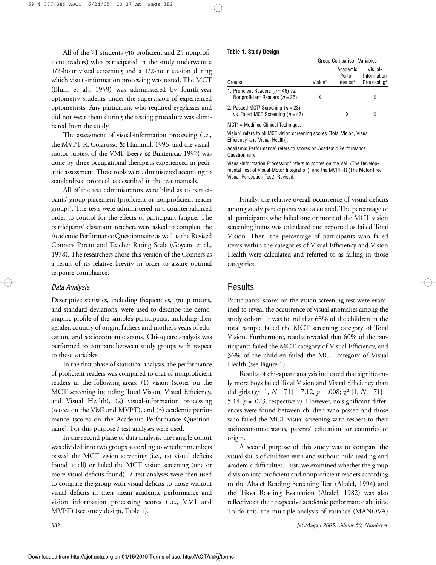All of the 71 students (46 proficient and 25 nonproficient readers) who participated in the study underwent a 1/2-hour visual screening and a 1/2-hour session during which visual-information processing was tested. The MCT (Blum et al., 1959) was administered by fourth-year optometry students under the supervision of experienced optometrists. Any participant who required eyeglasses and did not wear them during the testing procedure was eliminated from the study.

The assessment of visual-information processing (i.e., the MVPT-R, Colarusso & Hammill, 1996, and the visualmotor subtest of the VMI, Beery & Buktenica, 1997) was done by three occupational therapists experienced in pediatric assessment. These tools were administered according to standardized protocol as described in the test manuals.

All of the test administrators were blind as to participants' group placement (proficient or nonproficient reader groups). The tests were administered in a counterbalanced order to control for the effects of participant fatigue. The participants' classroom teachers were asked to complete the Academic Performance Questionnaire as well as the Revised Conners Parent and Teacher Rating Scale (Goyette et al., 1978). The researchers chose this version of the Conners as a result of its relative brevity in order to assure optimal response compliance.

#### *Data Analysis*

Descriptive statistics, including frequencies, group means, and standard deviations, were used to describe the demographic profile of the sample's participants, including their gender, country of origin, father's and mother's years of education, and socioeconomic status. Chi-square analysis was performed to compare between study groups with respect to these variables.

In the first phase of statistical analysis, the performance of proficient readers was compared to that of nonproficient readers in the following areas: (1) vision (scores on the MCT screening including Total Vision, Visual Efficiency, and Visual Health), (2) visual-information processing (scores on the VMI and MVPT), and (3) academic performance (scores on the Academic Performance Questionnaire). For this purpose *t*-test analyses were used.

In the second phase of data analysis, the sample cohort was divided into two groups according to whether members passed the MCT vision screening (i.e., no visual deficits found at all) or failed the MCT vision screening (one or more visual deficits found). *T*-test analyses were then used to compare the group with visual deficits to those without visual deficits in their mean academic performance and vision information processing scores (i.e., VMI and MVPT) (see study design, Table 1).

#### **Table 1. Study Design**

|                                                                                            | <b>Group Comparison Variables</b> |                       |                         |
|--------------------------------------------------------------------------------------------|-----------------------------------|-----------------------|-------------------------|
|                                                                                            |                                   | Academic<br>Perfor-   | Visual-<br>Information  |
| Groups                                                                                     | Vision <sup>2</sup>               | $m$ ance <sup>3</sup> | Processing <sup>4</sup> |
| 1. Proficient Readers ( $n = 46$ ) vs.<br>Nonproficient Readers ( $n = 25$ )               | х                                 |                       | x                       |
| 2. Passed MCT <sup>1</sup> Screening ( $n = 23$ )<br>vs. Failed MCT Screening ( $n = 47$ ) |                                   | x                     | Χ                       |

 $MCT<sup>1</sup>$  = Modified Clinical Technique.

Vision2 refers to all MCT vision screening scores (Total Vision, Visual Efficiency, and Visual Health).

Academic Performance3 refers to scores on Academic Performance Questionnaire.

Visual-Information Processing4 refers to scores on the VMI (The Developmental Test of Visual-Motor Integration), and the MVPT–R (The Motor-Free Visual-Perception Test)–Revised.

Finally, the relative overall occurrence of visual deficits among study participants was calculated. The percentage of all participants who failed one or more of the MCT vision screening items was calculated and reported as failed Total Vision. Then, the percentage of participants who failed items within the categories of Visual Efficiency and Vision Health were calculated and referred to as failing in those categories.

## Results

Participants' scores on the vision-screening test were examined to reveal the occurrence of visual anomalies among the study cohort. It was found that 68% of the children in the total sample failed the MCT screening category of Total Vision. Furthermore, results revealed that 60% of the participants failed the MCT category of Visual Efficiency, and 36% of the children failed the MCT category of Visual Health (see Figure 1).

Results of chi-square analysis indicated that significantly more boys failed Total Vision and Visual Efficiency than did girls  $(\chi^2$  [1,  $N = 71$ ] = 7.12,  $p = .008$ ;  $\chi^2$  [1,  $N = 71$ ] = 5.14,  $p = 0.023$ , respectively). However, no significant differences were found between children who passed and those who failed the MCT visual screening with respect to their socioeconomic status, parents' education, or countries of origin.

A second purpose of this study was to compare the visual skills of children with and without mild reading and academic difficulties. First, we examined whether the group division into proficient and nonproficient readers according to the Altalef Reading Screening Test (Altalef, 1994) and the Tikva Reading Evaluation (Altalef, 1982) was also reflective of their respective academic performance abilities. To do this, the multiple analysis of variance (MANOVA)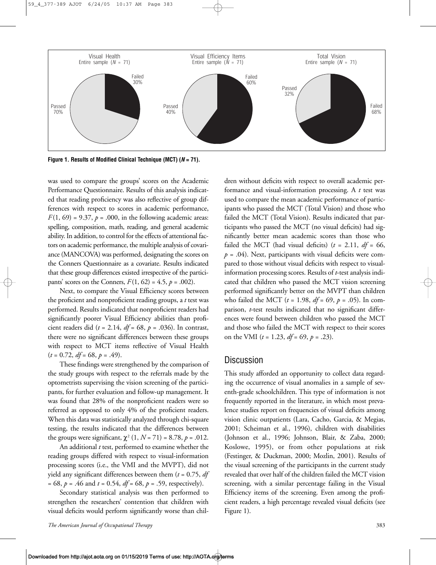

**Figure 1. Results of Modified Clinical Technique (MCT) (***N* **= 71).**

was used to compare the groups' scores on the Academic Performance Questionnaire. Results of this analysis indicated that reading proficiency was also reflective of group differences with respect to scores in academic performance,  $F(1, 69) = 9.37$ ,  $p = .000$ , in the following academic areas: spelling, composition, math, reading, and general academic ability. In addition, to control for the effects of attentional factors on academic performance, the multiple analysis of covariance (MANCOVA) was performed, designating the scores on the Conners Questionnaire as a covariate. Results indicated that these group differences existed irrespective of the participants' scores on the Conners,  $F(1, 62) = 4.5$ ,  $p = .002$ ).

Next, to compare the Visual Efficiency scores between the proficient and nonproficient reading groups, a *t* test was performed. Results indicated that nonproficient readers had significantly poorer Visual Efficiency abilities than proficient readers did (*t* = 2.14, *df* = 68, *p* = .036). In contrast, there were no significant differences between these groups with respect to MCT items reflective of Visual Health (*t* = 0.72, *df* = 68, *p* = .49).

These findings were strengthened by the comparison of the study groups with respect to the referrals made by the optometrists supervising the vision screening of the participants, for further evaluation and follow-up management. It was found that 28% of the nonproficient readers were so referred as opposed to only 4% of the proficient readers. When this data was statistically analyzed through chi-square testing, the results indicated that the differences between the groups were significant,  $\chi^2$  (1,  $N = 71$ ) = 8.78,  $p = .012$ .

An additional *t* test, performed to examine whether the reading groups differed with respect to visual-information processing scores (i.e., the VMI and the MVPT), did not yield any significant differences between them (*t* = 0.75, *df* = 68, *p* = .46 and *t* = 0.54, *df* = 68, *p* = .59, respectively).

Secondary statistical analysis was then performed to strengthen the researchers' contention that children with visual deficits would perform significantly worse than chil-

dren without deficits with respect to overall academic performance and visual-information processing. A *t* test was used to compare the mean academic performance of participants who passed the MCT (Total Vision) and those who failed the MCT (Total Vision). Results indicated that participants who passed the MCT (no visual deficits) had significantly better mean academic scores than those who failed the MCT (had visual deficits)  $(t = 2.11, df = 66,$  $p = .04$ ). Next, participants with visual deficits were compared to those without visual deficits with respect to visualinformation processing scores. Results of *t*-test analysis indicated that children who passed the MCT vision screening performed significantly better on the MVPT than children who failed the MCT ( $t = 1.98$ ,  $df = 69$ ,  $p = .05$ ). In comparison, *t*-test results indicated that no significant differences were found between children who passed the MCT and those who failed the MCT with respect to their scores on the VMI (*t* = 1.23, *df* = 69, *p* = .23).

## **Discussion**

This study afforded an opportunity to collect data regarding the occurrence of visual anomalies in a sample of seventh-grade schoolchildren. This type of information is not frequently reported in the literature, in which most prevalence studies report on frequencies of visual deficits among vision clinic outpatients (Lara, Cacho, Garcia, & Megias, 2001; Scheiman et al., 1996), children with disabilities (Johnson et al., 1996; Johnson, Blair, & Zaba, 2000; Koslowe, 1995), or from other populations at risk (Festinger, & Duckman, 2000; Mozlin, 2001). Results of the visual screening of the participants in the current study revealed that over half of the children failed the MCT vision screening, with a similar percentage failing in the Visual Efficiency items of the screening. Even among the proficient readers, a high percentage revealed visual deficits (see Figure 1).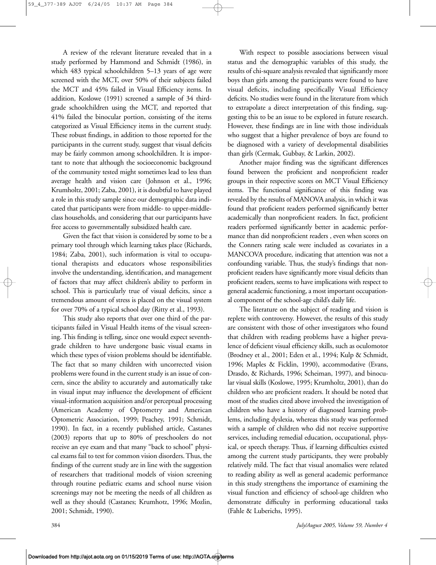A review of the relevant literature revealed that in a study performed by Hammond and Schmidt (1986), in which 483 typical schoolchildren 5–13 years of age were screened with the MCT, over 50% of their subjects failed the MCT and 45% failed in Visual Efficiency items. In addition, Koslowe (1991) screened a sample of 34 thirdgrade schoolchildren using the MCT, and reported that 41% failed the binocular portion, consisting of the items categorized as Visual Efficiency items in the current study. These robust findings, in addition to those reported for the participants in the current study, suggest that visual deficits may be fairly common among schoolchildren. It is important to note that although the socioeconomic background of the community tested might sometimes lead to less than average health and vision care (Johnson et al., 1996; Krumholtz, 2001; Zaba, 2001), it is doubtful to have played a role in this study sample since our demographic data indicated that participants were from middle- to upper-middleclass households, and considering that our participants have free access to governmentally subsidized health care.

Given the fact that vision is considered by some to be a primary tool through which learning takes place (Richards, 1984; Zaba, 2001), such information is vital to occupational therapists and educators whose responsibilities involve the understanding, identification, and management of factors that may affect children's ability to perform in school. This is particularly true of visual deficits, since a tremendous amount of stress is placed on the visual system for over 70% of a typical school day (Ritty et al., 1993).

This study also reports that over one third of the participants failed in Visual Health items of the visual screening. This finding is telling, since one would expect seventhgrade children to have undergone basic visual exams in which these types of vision problems should be identifiable. The fact that so many children with uncorrected vision problems were found in the current study is an issue of concern, since the ability to accurately and automatically take in visual input may influence the development of efficient visual-information acquisition and/or perceptual processing (American Academy of Optometry and American Optometric Association, 1999; Peachey, 1991; Schmidt, 1990). In fact, in a recently published article, Castanes (2003) reports that up to 80% of preschoolers do not receive an eye exam and that many "back to school" physical exams fail to test for common vision disorders. Thus, the findings of the current study are in line with the suggestion of researchers that traditional models of vision screening through routine pediatric exams and school nurse vision screenings may not be meeting the needs of all children as well as they should (Castanes; Krumhotz, 1996; Mozlin, 2001; Schmidt, 1990).

With respect to possible associations between visual status and the demographic variables of this study, the results of chi-square analysis revealed that significantly more boys than girls among the participants were found to have visual deficits, including specifically Visual Efficiency deficits. No studies were found in the literature from which to extrapolate a direct interpretation of this finding, suggesting this to be an issue to be explored in future research. However, these findings are in line with those individuals who suggest that a higher prevalence of boys are found to be diagnosed with a variety of developmental disabilities than girls (Cermak, Gubbay, & Larkin, 2002).

Another major finding was the significant differences found between the proficient and nonproficient reader groups in their respective scores on MCT Visual Efficiency items. The functional significance of this finding was revealed by the results of MANOVA analysis, in which it was found that proficient readers performed significantly better academically than nonproficient readers. In fact, proficient readers performed significantly better in academic performance than did nonproficient readers , even when scores on the Conners rating scale were included as covariates in a MANCOVA procedure, indicating that attention was not a confounding variable. Thus, the study's findings that nonproficient readers have significantly more visual deficits than proficient readers, seems to have implications with respect to general academic functioning, a most important occupational component of the school-age child's daily life.

The literature on the subject of reading and vision is replete with controversy. However, the results of this study are consistent with those of other investigators who found that children with reading problems have a higher prevalence of deficient visual efficiency skills, such as oculomotor (Brodney et al., 2001; Eden et al., 1994; Kulp & Schmidt, 1996; Maples & Ficklin, 1990), accommodative (Evans, Drasdo, & Richards, 1996; Scheiman, 1997), and binocular visual skills (Koslowe, 1995; Krumholtz, 2001), than do children who are proficient readers. It should be noted that most of the studies cited above involved the investigation of children who have a history of diagnosed learning problems, including dyslexia, whereas this study was performed with a sample of children who did not receive supportive services, including remedial education, occupational, physical, or speech therapy. Thus, if learning difficulties existed among the current study participants, they were probably relatively mild. The fact that visual anomalies were related to reading ability as well as general academic performance in this study strengthens the importance of examining the visual function and efficiency of school-age children who demonstrate difficulty in performing educational tasks (Fahle & Luberichs, 1995).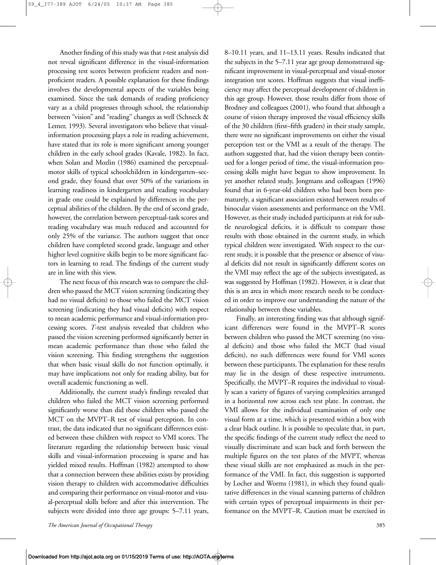Another finding of this study was that *t*-test analysis did not reveal significant difference in the visual-information processing test scores between proficient readers and nonproficient readers. A possible explanation for these findings involves the developmental aspects of the variables being examined. Since the task demands of reading proficiency vary as a child progresses through school, the relationship between "vision" and "reading" changes as well (Schneck & Lemer, 1993). Several investigators who believe that visualinformation processing plays a role in reading achievement, have stated that its role is more significant among younger children in the early school grades (Kavale, 1982). In fact, when Solan and Mozlin (1986) examined the perceptualmotor skills of typical schoolchildren in kindergarten–second grade, they found that over 50% of the variations in learning readiness in kindergarten and reading vocabulary in grade one could be explained by differences in the perceptual abilities of the children. By the end of second grade, however, the correlation between perceptual-task scores and reading vocabulary was much reduced and accounted for only 25% of the variance. The authors suggest that once children have completed second grade, language and other higher level cognitive skills begin to be more significant factors in learning to read. The findings of the current study are in line with this view.

The next focus of this research was to compare the children who passed the MCT vision screening (indicating they had no visual deficits) to those who failed the MCT vision screening (indicating they had visual deficits) with respect to mean academic performance and visual-information processing scores. *T*-test analysis revealed that children who passed the vision screening performed significantly better in mean academic performance than those who failed the vision screening. This finding strengthens the suggestion that when basic visual skills do not function optimally, it may have implications not only for reading ability, but for overall academic functioning as well.

Additionally, the current study's findings revealed that children who failed the MCT vision screening performed significantly worse than did those children who passed the MCT on the MVPT–R test of visual perception. In contrast, the data indicated that no significant differences existed between these children with respect to VMI scores. The literature regarding the relationship between basic visual skills and visual-information processing is sparse and has yielded mixed results. Hoffman (1982) attempted to show that a connection between these abilities exists by providing vision therapy to children with accommodative difficulties and comparing their performance on visual-motor and visual-perceptual skills before and after this intervention. The subjects were divided into three age groups: 5–7.11 years, 8–10.11 years, and 11–13.11 years. Results indicated that the subjects in the 5–7.11 year age group demonstrated significant improvement in visual-perceptual and visual-motor integration test scores. Hoffman suggests that visual inefficiency may affect the perceptual development of children in this age group. However, those results differ from those of Brodney and colleagues (2001), who found that although a course of vision therapy improved the visual efficiency skills of the 30 children (first–fifth graders) in their study sample, there were no significant improvements on either the visual perception test or the VMI as a result of the therapy. The authors suggested that, had the vision therapy been continued for a longer period of time, the visual-information processing skills might have begun to show improvement. In yet another related study, Jongmans and colleagues (1996) found that in 6-year-old children who had been born prematurely, a significant association existed between results of binocular vision assessments and performance on the VMI. However, as their study included participants at risk for subtle neurological deficits, it is difficult to compare those results with those obtained in the current study, in which typical children were investigated. With respect to the current study, it is possible that the presence or absence of visual deficits did not result in significantly different scores on the VMI may reflect the age of the subjects investigated, as was suggested by Hoffman (1982). However, it is clear that this is an area in which more research needs to be conducted in order to improve our understanding the nature of the relationship between these variables.

Finally, an interesting finding was that although significant differences were found in the MVPT–R scores between children who passed the MCT screening (no visual deficits) and those who failed the MCT (had visual deficits), no such differences were found for VMI scores between these participants. The explanation for these results may lie in the design of these respective instruments. Specifically, the MVPT–R requires the individual to visually scan a variety of figures of varying complexities arranged in a horizontal row across each test plate. In contrast, the VMI allows for the individual examination of only one visual form at a time, which is presented within a box with a clear black outline. It is possible to speculate that, in part, the specific findings of the current study reflect the need to visually discriminate and scan back and forth between the multiple figures on the test plates of the MVPT, whereas these visual skills are not emphasized as much in the performance of the VMI. In fact, this suggestion is supported by Locher and Worms (1981), in which they found qualitative differences in the visual scanning patterns of children with certain types of perceptual impairments in their performance on the MVPT–R. Caution must be exercised in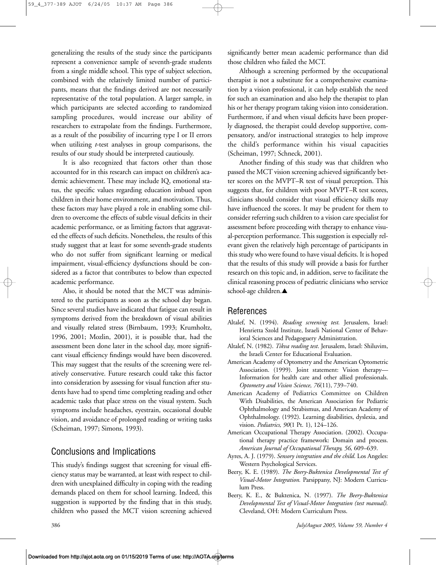generalizing the results of the study since the participants represent a convenience sample of seventh-grade students from a single middle school. This type of subject selection, combined with the relatively limited number of participants, means that the findings derived are not necessarily representative of the total population. A larger sample, in which participants are selected according to randomized sampling procedures, would increase our ability of researchers to extrapolate from the findings. Furthermore, as a result of the possibility of incurring type I or II errors when utilizing *t*-test analyses in group comparisons, the results of our study should be interpreted cautiously.

It is also recognized that factors other than those accounted for in this research can impact on children's academic achievement. These may include IQ, emotional status, the specific values regarding education imbued upon children in their home environment, and motivation. Thus, these factors may have played a role in enabling some children to overcome the effects of subtle visual deficits in their academic performance, or as limiting factors that aggravated the effects of such deficits. Nonetheless, the results of this study suggest that at least for some seventh-grade students who do not suffer from significant learning or medical impairment, visual-efficiency dysfunctions should be considered as a factor that contributes to below than expected academic performance.

Also, it should be noted that the MCT was administered to the participants as soon as the school day began. Since several studies have indicated that fatigue can result in symptoms derived from the breakdown of visual abilities and visually related stress (Birnbaum, 1993; Krumholtz, 1996, 2001; Mozlin, 2001), it is possible that, had the assessment been done later in the school day, more significant visual efficiency findings would have been discovered. This may suggest that the results of the screening were relatively conservative. Future research could take this factor into consideration by assessing for visual function after students have had to spend time completing reading and other academic tasks that place stress on the visual system. Such symptoms include headaches, eyestrain, occasional double vision, and avoidance of prolonged reading or writing tasks (Scheiman, 1997; Simons, 1993).

# Conclusions and Implications

This study's findings suggest that screening for visual efficiency status may be warranted, at least with respect to children with unexplained difficulty in coping with the reading demands placed on them for school learning. Indeed, this suggestion is supported by the finding that in this study, children who passed the MCT vision screening achieved

significantly better mean academic performance than did those children who failed the MCT.

Although a screening performed by the occupational therapist is not a substitute for a comprehensive examination by a vision professional, it can help establish the need for such an examination and also help the therapist to plan his or her therapy program taking vision into consideration. Furthermore, if and when visual deficits have been properly diagnosed, the therapist could develop supportive, compensatory, and/or instructional strategies to help improve the child's performance within his visual capacities (Scheiman, 1997; Schneck, 2001).

Another finding of this study was that children who passed the MCT vision screening achieved significantly better scores on the MVPT–R test of visual perception. This suggests that, for children with poor MVPT–R test scores, clinicians should consider that visual efficiency skills may have influenced the scores. It may be prudent for them to consider referring such children to a vision care specialist for assessment before proceeding with therapy to enhance visual-perception performance. This suggestion is especially relevant given the relatively high percentage of participants in this study who were found to have visual deficits. It is hoped that the results of this study will provide a basis for further research on this topic and, in addition, serve to facilitate the clinical reasoning process of pediatric clinicians who service school-age children.**▲**

# References

- Altalef, N. (1994). *Reading screening test.* Jerusalem, Israel: Henrietta Szold Institute, Israeli National Center of Behavioral Sciences and Pedagoguery Administration.
- Altalef, N. (1982). *Tikva reading test*. Jerusalem, Israel: Shiluvim, the Israeli Center for Educational Evaluation.
- American Academy of Optometry and the American Optometric Association. (1999). Joint statement: Vision therapy— Information for health care and other allied professionals. *Optometry and Vision Science, 76*(11), 739–740.
- American Academy of Pediatrics Committee on Children With Disabilities, the American Association for Pediatric Ophthalmology and Strabismus, and American Academy of Ophthalmology. (1992). Learning disabilities, dyslexia, and vision. *Pediatrics, 90*(1 Pt. 1), 124–126.
- American Occupational Therapy Association. (2002). Occupational therapy practice framework: Domain and process. *American Journal of Occupational Therapy, 56,* 609–639.
- Ayres, A. J. (1979). *Sensory integration and the child*. Los Angeles: Western Psychological Services.
- Beery, K. E. (1989). *The Beery-Buktenica Developmental Test of Visual-Motor Integration.* Parsippany, NJ: Modern Curriculum Press.
- Beery, K. E., & Buktenica, N. (1997). *The Beery-Buktenica Developmental Test of Visual-Motor Integration (test manual).* Cleveland, OH: Modern Curriculum Press.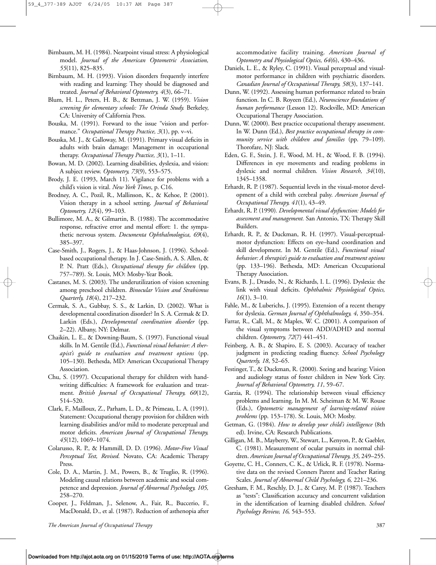- Birnbaum, M. H. (1984). Nearpoint visual stress: A physiological model. *Journal of the American Optometric Association, 55*(11), 825–835.
- Birnbaum, M. H. (1993). Vision disorders frequently interfere with reading and learning: They should be diagnosed and treated. *Journal of Behavioral Optometry, 4*(3), 66–71.
- Blum, H. L., Peters, H. B., & Bettman, J. W. (1959). *Vision screening for elementary schools: The Orinda Study.* Berkeley, CA: University of California Press.
- Bouska, M. (1991). Forward to the issue "vision and performance." *Occupational Therapy Practice, 3*(1), pp. v–vi.
- Bouska, M. J., & Galloway, M. (1991). Primary visual deficits in adults with brain damage: Management in occupational therapy. *Occupational Therapy Practice, 3*(1), 1–11.
- Bowan, M. D. (2002). Learning disabilities, dyslexia, and vision: A subject review. *Optometry, 73*(9), 553–575.
- Brody, J. E. (1993, March 11). Vigilance for problems with a child's vision is vital. *New York Times*, p. C16.
- Brodney, A. C., Pozil, R., Mallinson, K., & Kehoe, P. (2001). Vision therapy in a school setting. *Journal of Behavioral Optometry, 12*(4), 99–103.
- Bullimore, M. A., & Gilmartin, B. (1988). The accommodative response, refractive error and mental effort: 1. the sympathetic nervous system. *Documenta Ophthalmologica, 69*(4), 385–397.
- Case-Smith, J., Rogers, J., & Haas-Johnson, J. (1996). Schoolbased occupational therapy. In J. Case-Smith, A. S. Allen, & P. N. Pratt (Eds.), *Occupational therapy for children* (pp. 757–789). St. Louis, MO: Mosby-Year Book.
- Castanes, M. S. (2003). The underutilization of vision screening among preschool children. *Binocular Vision and Strabismus Quarterly, 18*(4), 217–232.
- Cermak, S. A., Gubbay, S. S., & Larkin, D. (2002). What is developmental coordination disorder? In S. A. Cermak & D. Larkin (Eds.), *Developmental coordination disorder* (pp. 2–22). Albany, NY: Delmar.
- Chaikin, L. E., & Downing-Baum, S. (1997). Functional visual skills. In M. Gentile (Ed.), *Functional visual behavior: A therapist's guide to evaluation and treatment options* (pp. 105–130). Bethesda, MD: American Occupational Therapy Association.
- Chu, S. (1997). Occupational therapy for children with handwriting difficulties: A framework for evaluation and treatment*. British Journal of Occupational Therapy, 60*(12), 514–520.
- Clark, F., Mailloux, Z., Parham, L. D., & Primeau, L. A. (1991). Statement: Occupational therapy provision for children with learning disabilities and/or mild to moderate perceptual and motor deficits. *American Journal of Occupational Therapy, 45*(12), 1069–1074.
- Colarusso, R. P., & Hammill, D. D. (1996). *Motor-Free Visual Perceptual Test, Revised.* Novato, CA: Academic Therapy Press.
- Cole, D. A., Martin, J. M., Powers, B., & Truglio, R. (1996). Modeling causal relations between academic and social competence and depression. *Journal of Abnormal Psychology, 105,* 258–270.
- Cooper, J., Feldman, J., Selenow, A., Fair, R., Buccerio, F., MacDonald, D., et al. (1987). Reduction of asthenopia after

accommodative facility training. *American Journal of Optometry and Physiological Optics, 64*(6), 430–436.

- Daniels, L. E., & Ryley, C. (1991). Visual perceptual and visualmotor performance in children with psychiatric disorders. *Canadian Journal of Occupational Therapy, 58*(3), 137–141.
- Dunn, W. (1992). Assessing human performance related to brain function. In C. B. Royeen (Ed.), *Neuroscience foundations of human performance* (Lesson 12). Rockville, MD: American Occupational Therapy Association.
- Dunn, W. (2000). Best practice occupational therapy assessment. In W. Dunn (Ed.), *Best practice occupational therapy in community service with children and families* (pp. 79–109). Thorofare, NJ: Slack.
- Eden, G. F., Stein, J. F., Wood, M. H., & Wood, F. B. (1994). Differences in eye movements and reading problems in dyslexic and normal children*. Vision Research, 34*(10), 1345–1358.
- Erhardt, R. P. (1987). Sequential levels in the visual-motor development of a child with cerebral palsy. *American Journal of Occupational Therapy, 41*(1), 43–49.
- Erhardt, R. P. (1990)*. Developmental visual dysfunction: Models for assessment and management.* San Antonio, TX: Therapy Skill Builders.
- Erhardt, R. P., & Duckman, R. H. (1997). Visual-perceptualmotor dysfunction: Effects on eye–hand coordination and skill development. In M. Gentile (Ed.), *Functional visual behavior: A therapist's guide to evaluation and treatment options* (pp. 133–196). Bethesda, MD: American Occupational Therapy Association.
- Evans, B. J., Drasdo, N., & Richards, I. L. (1996). Dyslexia: the link with visual deficits. *Ophthalmic Physiological Optics, 16*(1), 3–10.
- Fahle, M., & Luberichs, J. (1995). Extension of a recent therapy for dyslexia. *German Journal of Ophthalmology, 4*, 350–354.
- Farrar, R., Call, M., & Maples, W. C. (2001). A comparison of the visual symptoms between ADD/ADHD and normal children. *Optometry, 72*(7) 441–451.
- Feinberg, A. B., & Shapiro, E. S. (2003). Accuracy of teacher judgment in predicting reading fluency. *School Psychology Quarterly, 18*, 52–65.
- Festinger, T., & Duckman, R. (2000). Seeing and hearing: Vision and audiology status of foster children in New York City. *Journal of Behavioral Optometry, 11*, 59–67.
- Garzia, R. (1994). The relationship between visual efficiency problems and learning. In M. M. Scheiman & M. W. Rouse (Eds.), *Optometric management of learning-related vision problems* (pp. 153–178). St. Louis, MO: Mosby.
- Getman, G. (1984). *How to develop your child's intelligence* (8th ed). Irvine, CA: Research Publications.
- Gilligan, M. B., Mayberry, W., Stewart, L., Kenyon, P., & Gaebler, C. (1981). Measurement of ocular pursuits in normal children. *American Journal of Occupational Therapy, 35,* 249–255.
- Goyette, C. H., Conners, C. K., & Urlick, R. F. (1978). Normative data on the revised Conners Parent and Teacher Rating Scales. *Journal of Abnormal Child Psychology, 6,* 221–236.
- Gresham, F. M., Reschly, D. J., & Carey, M. P. (1987). Teachers as "tests": Classification accuracy and concurrent validation in the identification of learning disabled children. *School Psychology Review, 16,* 543–553.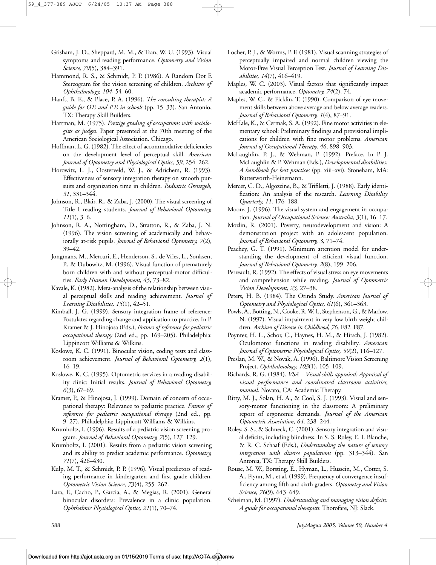- Grisham, J. D., Sheppard, M. M., & Tran, W. U. (1993). Visual symptoms and reading performance. *Optometry and Vision Science, 70*(5), 384–391.
- Hammond, R. S., & Schmidt, P. P. (1986). A Random Dot E Stereogram for the vision screening of children. *Archives of Ophthalmology, 104*, 54–60.
- Hanft, B. E., & Place, P. A. (1996). *The consulting therapist: A guide for OTs and PTs in schools* (pp. 15–33). San Antonio, TX: Therapy Skill Builders.
- Hartman, M. (1975). *Prestige grading of occupations with sociologists as judges*. Paper presented at the 70th meeting of the American Sociological Association. Chicago.
- Hoffman, L. G. (1982). The effect of accommodative deficiencies on the development level of perceptual skill. *American Journal of Optometry and Physiological Optics, 59*, 254–262.
- Horowitz, L. J., Oosterveld, W. J., & Adrichem, R. (1993). Effectiveness of sensory integration therapy on smooth pursuits and organization time in children*. Padiatric Grenzgeh, 31*, 331–344.
- Johnson, R., Blair, R., & Zaba, J. (2000). The visual screening of Title I reading students. *Journal of Behavioral Optometry, 11*(1), 3–6.
- Johnson, R. A., Nottingham, D., Stratton, R., & Zaba, J. N. (1996). The vision screening of academically and behaviorally at-risk pupils. *Journal of Behavioral Optometry, 7*(2), 39–42.
- Jongmans, M., Mercuri, E., Henderson, S., de Vries, L., Sonksen, P., & Dubowitz, M. (1996). Visual function of prematurely born children with and without perceptual-motor difficulties. *Early Human Development, 45*, 73–82.
- Kavale, K. (1982). Meta-analysis of the relationship between visual perceptual skills and reading achievement. *Journal of Learning Disabilities, 15*(1), 42–51.
- Kimball, J. G. (1999). Sensory integration frame of reference: Postulates regarding change and application to practice. In P. Kramer & J. Hinojosa (Eds.), *Frames of reference for pediatric occupational therapy* (2nd ed., pp. 169–205). Philadelphia: Lippincott Williams & Wilkins.
- Koslowe, K. C. (1991). Binocular vision, coding tests and classroom achievement. *Journal of Behavioral Optometry, 2*(1), 16–19.
- Koslowe, K. C. (1995). Optometric services in a reading disability clinic: Initial results. *Journal of Behavioral Optometry, 6*(3), 67–69.
- Kramer, P., & Hinojosa, J. (1999). Domain of concern of occupational therapy: Relevance to pediatric practice. *Frames of reference for pediatric occupational therapy* (2nd ed., pp. 9–27). Philadelphia: Lippincott Williams & Wilkins.
- Krumholtz, I. (1996). Results of a pediatric vision screening program*. Journal of Behavioral Optometry, 7*(5), 127–129.
- Krumholtz, I. (2001). Results from a pediatric vision screening and its ability to predict academic performance. *Optometry, 71*(7), 426–430.
- Kulp, M. T., & Schmidt, P. P. (1996). Visual predictors of reading performance in kindergarten and first grade children. *Optometric Vision Science, 73*(4), 255–262.
- Lara, F., Cacho, P., Garcia, A., & Megias, R. (2001). General binocular disorders: Prevalence in a clinic population. *Ophthalmic Physiological Optics, 21*(1), 70–74.
- Locher, P. J., & Worms, P. F. (1981). Visual scanning strategies of perceptually impaired and normal children viewing the Motor-Free Visual Perception Test. *Journal of Learning Disabilities, 14*(7), 416–419.
- Maples, W. C. (2003). Visual factors that significantly impact academic performance, *Optometry, 74*(2), 74.
- Maples, W. C., & Ficklin, T. (1990). Comparison of eye movement skills between above average and below average readers. *Journal of Behavioral Optometry, 1*(4), 87–91.
- McHale, K., & Cermak, S. A. (1992). Fine motor activities in elementary school: Preliminary findings and provisional implications for children with fine motor problems. *American Journal of Occupational Therapy, 46*, 898–903.
- McLaughlin, P. J., & Wehman, P. (1992). Preface. In P. J. McLaughlin & P. Wehman (Eds.), *Developmental disabilities: A handbook for best practices* (pp. xiii–xvi). Stoneham, MA: Butterworth-Heinemann.
- Mercer, C. D., Algozzine, B., & Trifiletti, J. (1988). Early identification: An analysis of the research. *Learning Disability Quarterly, 11,* 176–188.
- Moore, J. (1996). The visual system and engagement in occupation. *Journal of Occupational Science: Australia, 3*(1), 16–17.
- Mozlin, R. (2001). Poverty, neurodevelopment and vision: A demonstration project with an adolescent population. *Journal of Behavioral Optometry, 3,* 71–74.
- Peachey, G. T. (1991). Minimum attention model for understanding the development of efficient visual function. *Journal of Behavioral Optometry, 2*(8), 199–206.
- Perreault, R. (1992). The effects of visual stress on eye movements and comprehension while reading. *Journal of Optometric Vision Development, 23,* 27–38.
- Peters, H. B. (1984). The Orinda Study. *American Journal of Optometry and Physiological Optics, 61*(6), 361–363.
- Powls, A., Botting, N., Cooke, R. W. I., Stephenson, G., & Marlow, N. (1997). Visual impairment in very low birth weight children. *Archives of Disease in Childhood, 76,* F82–F87.
- Poynter, H. L., Schor, C., Haynes, H. M., & Hirsch, J. (1982). Oculomotor functions in reading disability. *American Journal of Optometric Physiological Optics, 59*(2), 116–127.
- Preslan, M. W., & Novak, A. (1996). Baltimore Vision Screening Project. *Ophthalmology, 103*(1), 105–109.
- Richards, R. G. (1984). *VSA—Visual skills appraisal: Appraisal of visual performance and coordinated classroom activities, manual*. Novato, CA: Academic Therapy.
- Ritty, M. J., Solan, H. A., & Cool, S. J. (1993). Visual and sensory-motor functioning in the classroom: A preliminary report of ergonomic demands. *Journal of the American Optometric Association, 64,* 238–244.
- Roley, S. S., & Schneck, C. (2001). Sensory integration and visual deficits, including blindness. In S. S. Roley, E. I. Blanche, & R. C. Schaaf (Eds.), *Understanding the nature of sensory integration with diverse populations* (pp. 313–344). San Antonia, TX: Therapy Skill Builders.
- Rouse, M. W., Borsting, E., Hyman, L., Hussein, M., Cotter, S. A., Flynn, M., et al. (1999). Frequency of convergence insufficiency among fifth and sixth graders. *Optometry and Vision Science, 76*(9), 643–649.
- Scheiman, M. (1997). *Understanding and managing vision deficits: A guide for occupational therapists*. Thorofare, NJ: Slack.